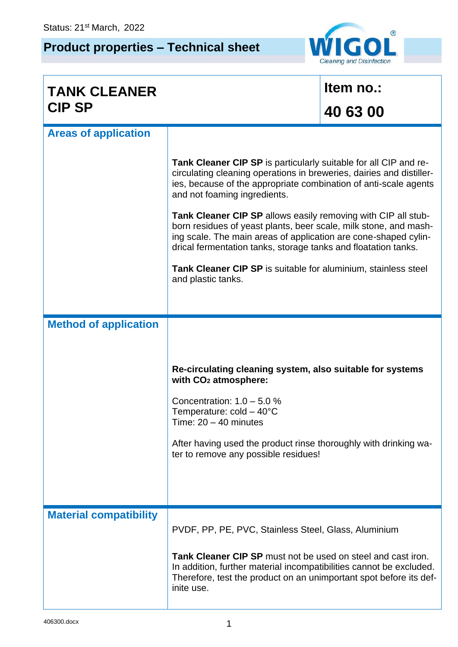## **Product properties – Technical sheet**



| <b>TANK CLEANER</b>           |                                                                                                                                                                                                                                                                        | Item no.: |  |  |
|-------------------------------|------------------------------------------------------------------------------------------------------------------------------------------------------------------------------------------------------------------------------------------------------------------------|-----------|--|--|
| <b>CIP SP</b>                 |                                                                                                                                                                                                                                                                        | 40 63 00  |  |  |
| <b>Areas of application</b>   |                                                                                                                                                                                                                                                                        |           |  |  |
|                               | Tank Cleaner CIP SP is particularly suitable for all CIP and re-<br>circulating cleaning operations in breweries, dairies and distiller-<br>ies, because of the appropriate combination of anti-scale agents<br>and not foaming ingredients.                           |           |  |  |
|                               | Tank Cleaner CIP SP allows easily removing with CIP all stub-<br>born residues of yeast plants, beer scale, milk stone, and mash-<br>ing scale. The main areas of application are cone-shaped cylin-<br>drical fermentation tanks, storage tanks and floatation tanks. |           |  |  |
|                               | <b>Tank Cleaner CIP SP</b> is suitable for aluminium, stainless steel<br>and plastic tanks.                                                                                                                                                                            |           |  |  |
| <b>Method of application</b>  |                                                                                                                                                                                                                                                                        |           |  |  |
|                               |                                                                                                                                                                                                                                                                        |           |  |  |
|                               | Re-circulating cleaning system, also suitable for systems<br>with CO <sub>2</sub> atmosphere:                                                                                                                                                                          |           |  |  |
|                               | Concentration: $1.0 - 5.0 %$<br>Temperature: $cold - 40^{\circ}C$<br>Time: $20 - 40$ minutes                                                                                                                                                                           |           |  |  |
|                               | After having used the product rinse thoroughly with drinking wa-<br>ter to remove any possible residues!                                                                                                                                                               |           |  |  |
|                               |                                                                                                                                                                                                                                                                        |           |  |  |
| <b>Material compatibility</b> | PVDF, PP, PE, PVC, Stainless Steel, Glass, Aluminium                                                                                                                                                                                                                   |           |  |  |
|                               | Tank Cleaner CIP SP must not be used on steel and cast iron.<br>In addition, further material incompatibilities cannot be excluded.<br>Therefore, test the product on an unimportant spot before its def-<br>inite use.                                                |           |  |  |